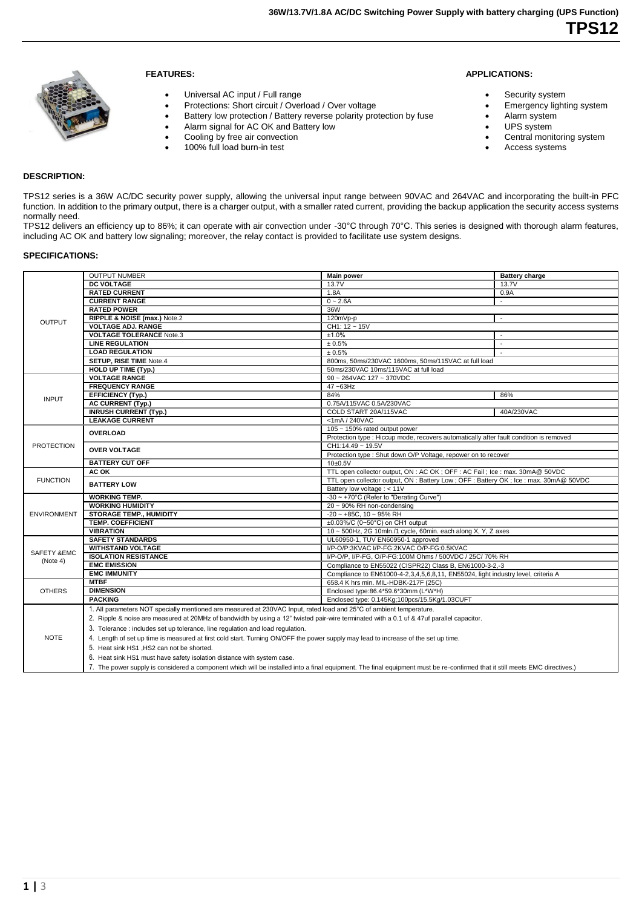

# **FEATURES:**

- Universal AC input / Full range
- Protections: Short circuit / Overload / Over voltage
- Battery low protection / Battery reverse polarity protection by fuse
- Alarm signal for AC OK and Battery low
- Cooling by free air convection
- 100% full load burn-in test

### **APPLICATIONS:**

- Security system
- Emergency lighting system
- Alarm system
- UPS system
	- Central monitoring system
	- Access systems

# **DESCRIPTION:**

TPS12 series is a 36W AC/DC security power supply, allowing the universal input range between 90VAC and 264VAC and incorporating the built-in PFC function. In addition to the primary output, there is a charger output, with a smaller rated current, providing the backup application the security access systems normally need.

TPS12 delivers an efficiency up to 86%; it can operate with air convection under -30°C through 70°C. This series is designed with thorough alarm features, including AC OK and battery low signaling; moreover, the relay contact is provided to facilitate use system designs.

## **SPECIFICATIONS:**

|                    | <b>OUTPUT NUMBER</b>                                                                                                                                                        | <b>Main power</b>                                                                      | <b>Battery charge</b>    |  |
|--------------------|-----------------------------------------------------------------------------------------------------------------------------------------------------------------------------|----------------------------------------------------------------------------------------|--------------------------|--|
|                    | <b>DC VOLTAGE</b>                                                                                                                                                           | 13.7V                                                                                  | 13.7V                    |  |
|                    | <b>RATED CURRENT</b>                                                                                                                                                        | 1.8A                                                                                   | 0.9A                     |  |
|                    | <b>CURRENT RANGE</b>                                                                                                                                                        | $0 - 2.6A$                                                                             | $\blacksquare$           |  |
|                    | <b>RATED POWER</b>                                                                                                                                                          | 36W                                                                                    |                          |  |
|                    | RIPPLE & NOISE (max.) Note.2                                                                                                                                                | 120mVp-p                                                                               | $\overline{\phantom{a}}$ |  |
| <b>OUTPUT</b>      | <b>VOLTAGE ADJ. RANGE</b>                                                                                                                                                   | CH1: 12 ~ 15V                                                                          |                          |  |
|                    | <b>VOLTAGE TOLERANCE Note.3</b>                                                                                                                                             | $±1.0\%$                                                                               |                          |  |
|                    | <b>LINE REGULATION</b>                                                                                                                                                      | ± 0.5%                                                                                 | $\overline{a}$           |  |
|                    | <b>LOAD REGULATION</b>                                                                                                                                                      | ± 0.5%                                                                                 | $\overline{\phantom{a}}$ |  |
|                    | <b>SETUP, RISE TIME Note.4</b>                                                                                                                                              | 800ms, 50ms/230VAC 1600ms, 50ms/115VAC at full load                                    |                          |  |
|                    | <b>HOLD UP TIME (Typ.)</b>                                                                                                                                                  | 50ms/230VAC 10ms/115VAC at full load                                                   |                          |  |
|                    | <b>VOLTAGE RANGE</b>                                                                                                                                                        | 90 ~ 264VAC 127 ~ 370VDC                                                               |                          |  |
|                    | <b>FREQUENCY RANGE</b>                                                                                                                                                      | 47~63Hz                                                                                |                          |  |
| <b>INPUT</b>       | <b>EFFICIENCY (Typ.)</b>                                                                                                                                                    | 84%                                                                                    | 86%                      |  |
|                    | <b>AC CURRENT (Typ.)</b>                                                                                                                                                    | 0.75A/115VAC 0.5A/230VAC                                                               |                          |  |
|                    | <b>INRUSH CURRENT (Typ.)</b>                                                                                                                                                | COLD START 20A/115VAC                                                                  | 40A/230VAC               |  |
|                    | <b>LEAKAGE CURRENT</b>                                                                                                                                                      | $<$ 1mA / 240VAC                                                                       |                          |  |
|                    | <b>OVERLOAD</b>                                                                                                                                                             | 105 ~ 150% rated output power                                                          |                          |  |
|                    |                                                                                                                                                                             | Protection type : Hiccup mode, recovers automatically after fault condition is removed |                          |  |
| <b>PROTECTION</b>  | <b>OVER VOLTAGE</b>                                                                                                                                                         | CH1:14.49 ~ 19.5V                                                                      |                          |  |
|                    |                                                                                                                                                                             | Protection type : Shut down O/P Voltage, repower on to recover                         |                          |  |
|                    | <b>BATTERY CUT OFF</b>                                                                                                                                                      | 10±0.5V                                                                                |                          |  |
|                    | AC OK                                                                                                                                                                       | TTL open collector output, ON : AC OK; OFF : AC Fail; Ice : max. 30mA@ 50VDC           |                          |  |
| <b>FUNCTION</b>    | <b>BATTERY LOW</b>                                                                                                                                                          | TTL open collector output, ON : Battery Low; OFF : Battery OK; Ice : max. 30mA@ 50VDC  |                          |  |
|                    |                                                                                                                                                                             | Battery low voltage : < 11V                                                            |                          |  |
|                    | <b>WORKING TEMP.</b>                                                                                                                                                        | -30 ~ +70°C (Refer to "Derating Curve")                                                |                          |  |
|                    | <b>WORKING HUMIDITY</b>                                                                                                                                                     | 20 ~ 90% RH non-condensing                                                             |                          |  |
| <b>ENVIRONMENT</b> | <b>STORAGE TEMP., HUMIDITY</b>                                                                                                                                              | $-20$ ~ $+85C$ , 10 ~ 95% RH                                                           |                          |  |
|                    | <b>TEMP. COEFFICIENT</b>                                                                                                                                                    | ±0.03%/C (0~50°C) on CH1 output                                                        |                          |  |
|                    | <b>VIBRATION</b>                                                                                                                                                            | 10 ~ 500Hz, 2G 10mln./1 cycle, 60min. each along X, Y, Z axes                          |                          |  |
|                    | <b>SAFETY STANDARDS</b>                                                                                                                                                     | UL60950-1, TUV EN60950-1 approved                                                      |                          |  |
| SAFETY &EMC        | <b>WITHSTAND VOLTAGE</b>                                                                                                                                                    | I/P-O/P:3KVAC I/P-FG:2KVAC O/P-FG:0.5KVAC                                              |                          |  |
| (Note 4)           | <b>ISOLATION RESISTANCE</b>                                                                                                                                                 | I/P-O/P, I/P-FG, O/P-FG:100M Ohms / 500VDC / 25C/ 70% RH                               |                          |  |
|                    | <b>EMC EMISSION</b>                                                                                                                                                         | Compliance to EN55022 (CISPR22) Class B, EN61000-3-2,-3                                |                          |  |
|                    | <b>EMC IMMUNITY</b>                                                                                                                                                         | Compliance to EN61000-4-2,3,4,5,6,8,11, EN55024, light industry level, criteria A      |                          |  |
|                    | <b>MTBF</b>                                                                                                                                                                 | 658.4 K hrs min. MIL-HDBK-217F (25C)                                                   |                          |  |
| <b>OTHERS</b>      | <b>DIMENSION</b>                                                                                                                                                            | Enclosed type:86.4*59.6*30mm (L*W*H)                                                   |                          |  |
|                    | <b>PACKING</b>                                                                                                                                                              | Enclosed type: 0.145Kg;100pcs/15.5Kg/1.03CUFT                                          |                          |  |
| <b>NOTE</b>        | 1. All parameters NOT specially mentioned are measured at 230VAC Input, rated load and 25°C of ambient temperature.                                                         |                                                                                        |                          |  |
|                    | 2. Ripple & noise are measured at 20MHz of bandwidth by using a 12" twisted pair-wire terminated with a 0.1 uf & 47uf parallel capacitor.                                   |                                                                                        |                          |  |
|                    | 3. Tolerance: includes set up tolerance, line regulation and load regulation.                                                                                               |                                                                                        |                          |  |
|                    | 4. Length of set up time is measured at first cold start. Turning ON/OFF the power supply may lead to increase of the set up time.                                          |                                                                                        |                          |  |
|                    | 5. Heat sink HS1, HS2 can not be shorted.                                                                                                                                   |                                                                                        |                          |  |
|                    | 6. Heat sink HS1 must have safety isolation distance with system case.                                                                                                      |                                                                                        |                          |  |
|                    |                                                                                                                                                                             |                                                                                        |                          |  |
|                    | 7. The power supply is considered a component which will be installed into a final equipment. The final equipment must be re-confirmed that it still meets EMC directives.) |                                                                                        |                          |  |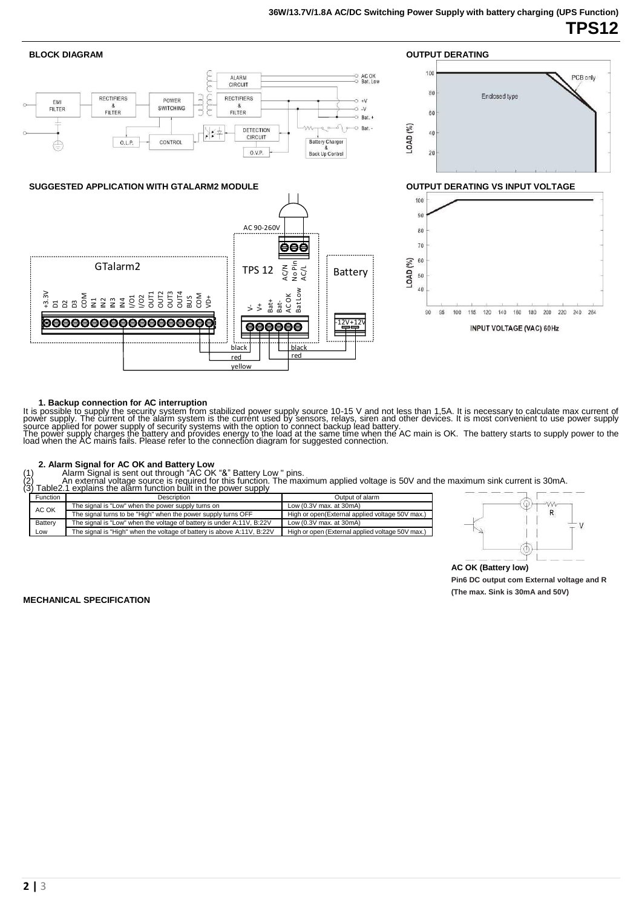

#### **1. Backup connection for AC interruption**

It is possible to supply the security system from stabilized power supply source 10-15 V and not less than 1,5A. It is necessary to calculate max current of<br>power supply. The current of the alarm system is the current used

2. Alarm Signal for AC OK and Battery Low<br>(1) Alarm Signal is sent out through "AC OK "&" Battery Low " pins.<br>(2) \_\_\_\_\_ An external voltage source is required for this function. The maximum applied voltage is 50V and the m

|                                                                               | (3) Table 2.1 explains the alarm function built in the power supply                                   |                                                  |
|-------------------------------------------------------------------------------|-------------------------------------------------------------------------------------------------------|--------------------------------------------------|
| <b>Function</b>                                                               | Description                                                                                           | Output of alarm                                  |
| AC OK                                                                         | The signal is "Low" when the power supply turns on                                                    | Low $(0.3V$ max. at $30mA$ )                     |
|                                                                               | The signal turns to be "High" when the power supply turns OFF                                         | High or open(External applied voltage 50V max.)  |
| Battery                                                                       | The signal is "Low" when the voltage of battery is under A:11V, B:22V<br>Low $(0.3V$ max, at $30mA$ ) |                                                  |
| The signal is "High" when the voltage of battery is above A:11V, B:22V<br>LOW |                                                                                                       | High or open (External applied voltage 50V max.) |



**AC OK (Battery low)**

**Pin6 DC output com External voltage and R (The max. Sink is 30mA and 50V)**

**MECHANICAL SPECIFICATION**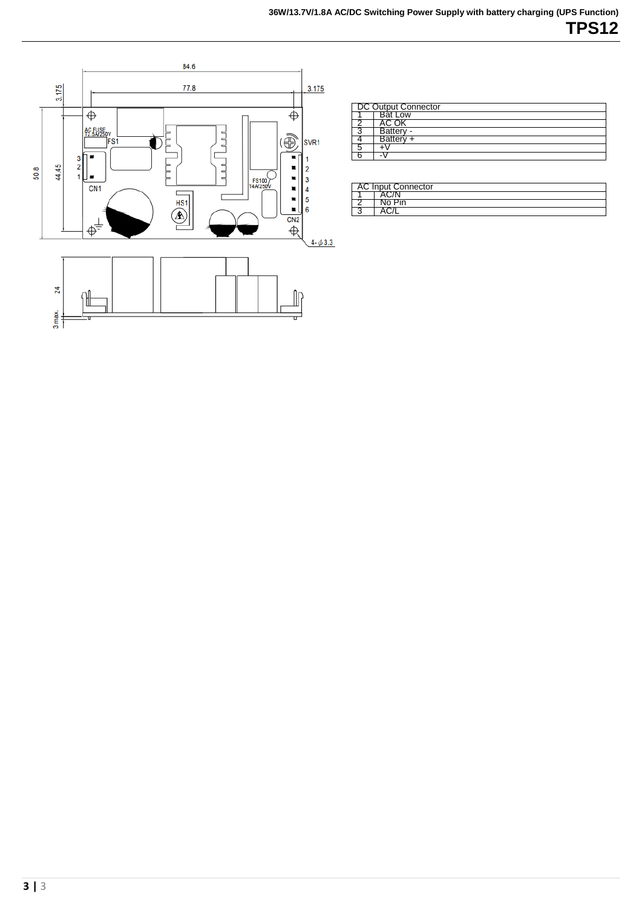

| DC Output Connector |                |
|---------------------|----------------|
|                     | <b>Bat Low</b> |
|                     | AC OK          |
|                     | Battery -      |
|                     | Battery +      |
|                     |                |
|                     |                |

| <b>AC Input Connector</b> |  |  |
|---------------------------|--|--|
|                           |  |  |
|                           |  |  |
|                           |  |  |